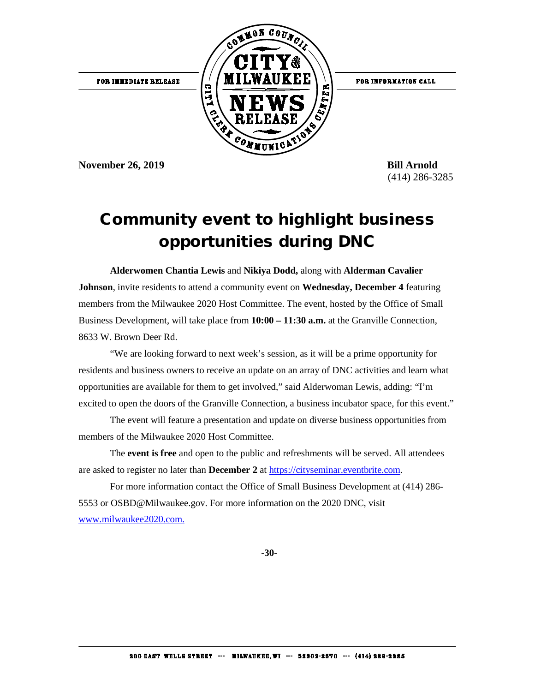

**November 26, 2019** Bill Arnold

(414) 286-3285

## Community event to highlight business opportunities during DNC

**Alderwomen Chantia Lewis** and **Nikiya Dodd,** along with **Alderman Cavalier Johnson**, invite residents to attend a community event on **Wednesday, December 4** featuring members from the Milwaukee 2020 Host Committee. The event, hosted by the Office of Small Business Development, will take place from **10:00 – 11:30 a.m.** at the Granville Connection, 8633 W. Brown Deer Rd.

"We are looking forward to next week's session, as it will be a prime opportunity for residents and business owners to receive an update on an array of DNC activities and learn what opportunities are available for them to get involved," said Alderwoman Lewis, adding: "I'm excited to open the doors of the Granville Connection, a business incubator space, for this event."

The event will feature a presentation and update on diverse business opportunities from members of the Milwaukee 2020 Host Committee.

The **event is free** and open to the public and refreshments will be served. All attendees are asked to register no later than **December 2** at [https://cityseminar.eventbrite.com.](https://cityseminar.eventbrite.com/) 

For more information contact the Office of Small Business Development at (414) 286- 5553 or OSBD@Milwaukee.gov. For more information on the 2020 DNC, visit [www.milwaukee2020.com.](https://l.facebook.com/l.php?u=http%3A%2F%2Fwww.milwaukee2020.com%2F%3Ffbclid%3DIwAR2kXNwNIe8c9hMsl4aolWFckOwjVHR2xWgYZj0czZjfK8OXgRAED8DIPds&h=AT2r7qbxAiYZGbxsW4QdOKiqYilPfAS7j0ohIjqpKx5CPznCWOQyAzH1aUzMVZzX1bM5fP_6WTNE0Pz9Yse-_Jyt63FGE4jaXugT9lquplg48VZSnss5ICXAzEHYluUBizA)

**-30-**